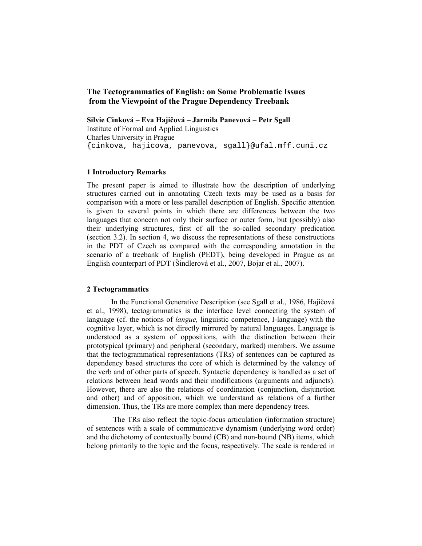# **The Tectogrammatics of English: on Some Problematic Issues from the Viewpoint of the Prague Dependency Treebank**

**Silvie Cinková – Eva Hajičová – Jarmila Panevová – Petr Sgall**  Institute of Formal and Applied Linguistics Charles University in Prague {cinkova, hajicova, panevova, sgall}@ufal.mff.cuni.cz

## **1 Introductory Remarks**

The present paper is aimed to illustrate how the description of underlying structures carried out in annotating Czech texts may be used as a basis for comparison with a more or less parallel description of English. Specific attention is given to several points in which there are differences between the two languages that concern not only their surface or outer form, but (possibly) also their underlying structures, first of all the so-called secondary predication (section 3.2). In section 4, we discuss the representations of these constructions in the PDT of Czech as compared with the corresponding annotation in the scenario of a treebank of English (PEDT), being developed in Prague as an English counterpart of PDT (Šindlerová et al., 2007, Bojar et al., 2007).

### **2 Tectogrammatics**

In the Functional Generative Description (see Sgall et al., 1986, Hajičová et al., 1998), tectogrammatics is the interface level connecting the system of language (cf. the notions of *langue,* linguistic competence, I-language) with the cognitive layer, which is not directly mirrored by natural languages. Language is understood as a system of oppositions, with the distinction between their prototypical (primary) and peripheral (secondary, marked) members. We assume that the tectogrammatical representations (TRs) of sentences can be captured as dependency based structures the core of which is determined by the valency of the verb and of other parts of speech. Syntactic dependency is handled as a set of relations between head words and their modifications (arguments and adjuncts). However, there are also the relations of coordination (conjunction, disjunction and other) and of apposition, which we understand as relations of a further dimension. Thus, the TRs are more complex than mere dependency trees.

 The TRs also reflect the topic-focus articulation (information structure) of sentences with a scale of communicative dynamism (underlying word order) and the dichotomy of contextually bound (CB) and non-bound (NB) items, which belong primarily to the topic and the focus, respectively. The scale is rendered in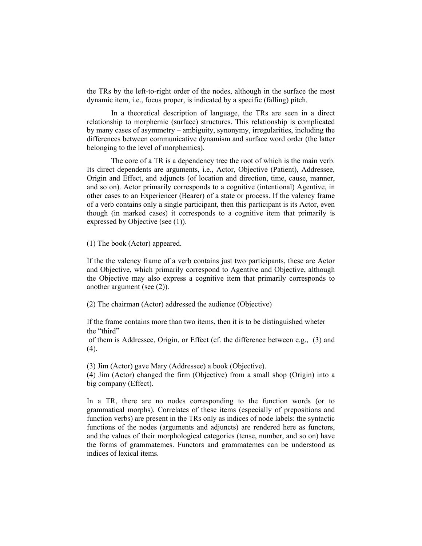the TRs by the left-to-right order of the nodes, although in the surface the most dynamic item, i.e., focus proper, is indicated by a specific (falling) pitch.

 In a theoretical description of language, the TRs are seen in a direct relationship to morphemic (surface) structures. This relationship is complicated by many cases of asymmetry – ambiguity, synonymy, irregularities, including the differences between communicative dynamism and surface word order (the latter belonging to the level of morphemics).

 The core of a TR is a dependency tree the root of which is the main verb. Its direct dependents are arguments, i.e., Actor, Objective (Patient), Addressee, Origin and Effect, and adjuncts (of location and direction, time, cause, manner, and so on). Actor primarily corresponds to a cognitive (intentional) Agentive, in other cases to an Experiencer (Bearer) of a state or process. If the valency frame of a verb contains only a single participant, then this participant is its Actor, even though (in marked cases) it corresponds to a cognitive item that primarily is expressed by Objective (see (1)).

(1) The book (Actor) appeared.

If the the valency frame of a verb contains just two participants, these are Actor and Objective, which primarily correspond to Agentive and Objective, although the Objective may also express a cognitive item that primarily corresponds to another argument (see (2)).

(2) The chairman (Actor) addressed the audience (Objective)

If the frame contains more than two items, then it is to be distinguished wheter the "third"

 of them is Addressee, Origin, or Effect (cf. the difference between e.g., (3) and  $(4)$ .

(3) Jim (Actor) gave Mary (Addressee) a book (Objective).

(4) Jim (Actor) changed the firm (Objective) from a small shop (Origin) into a big company (Effect).

In a TR, there are no nodes corresponding to the function words (or to grammatical morphs). Correlates of these items (especially of prepositions and function verbs) are present in the TRs only as indices of node labels: the syntactic functions of the nodes (arguments and adjuncts) are rendered here as functors, and the values of their morphological categories (tense, number, and so on) have the forms of grammatemes. Functors and grammatemes can be understood as indices of lexical items.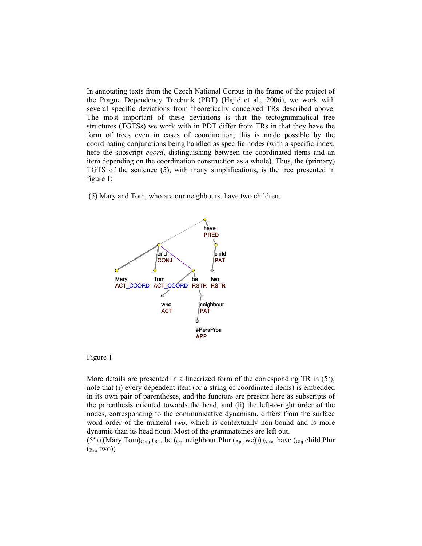In annotating texts from the Czech National Corpus in the frame of the project of the Prague Dependency Treebank (PDT) (Hajič et al., 2006), we work with several specific deviations from theoretically conceived TRs described above. The most important of these deviations is that the tectogrammatical tree structures (TGTSs) we work with in PDT differ from TRs in that they have the form of trees even in cases of coordination; this is made possible by the coordinating conjunctions being handled as specific nodes (with a specific index, here the subscript *coord*, distinguishing between the coordinated items and an item depending on the coordination construction as a whole). Thus, the (primary) TGTS of the sentence (5), with many simplifications, is the tree presented in figure 1:

(5) Mary and Tom, who are our neighbours, have two children.



### Figure 1

More details are presented in a linearized form of the corresponding  $TR$  in  $(5^{\circ})$ ; note that (i) every dependent item (or a string of coordinated items) is embedded in its own pair of parentheses, and the functors are present here as subscripts of the parenthesis oriented towards the head, and (ii) the left-to-right order of the nodes, corresponding to the communicative dynamism, differs from the surface word order of the numeral *two*, which is contextually non-bound and is more dynamic than its head noun. Most of the grammatemes are left out.

(5<sup>c</sup>) ((Mary Tom)<sub>Conj</sub> (<sub>Rstr</sub> be (<sub>Obj</sub> neighbour.Plur (<sub>App</sub> we))))<sub>Actor</sub> have (<sub>Obj</sub> child.Plur  $({}_{Rstr}$  two))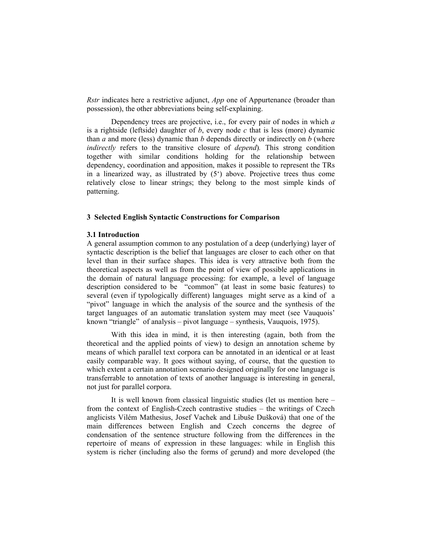*Rstr* indicates here a restrictive adjunct, *App* one of Appurtenance (broader than possession), the other abbreviations being self-explaining.

 Dependency trees are projective, i.e., for every pair of nodes in which *a* is a rightside (leftside) daughter of *b*, every node *c* that is less (more) dynamic than *a* and more (less) dynamic than *b* depends directly or indirectly on *b* (where *indirectly* refers to the transitive closure of *depend*)*.* This strong condition together with similar conditions holding for the relationship between dependency, coordination and apposition, makes it possible to represent the TRs in a linearized way, as illustrated by  $(5^{\circ})$  above. Projective trees thus come relatively close to linear strings; they belong to the most simple kinds of patterning.

### **3 Selected English Syntactic Constructions for Comparison**

#### **3.1 Introduction**

A general assumption common to any postulation of a deep (underlying) layer of syntactic description is the belief that languages are closer to each other on that level than in their surface shapes. This idea is very attractive both from the theoretical aspects as well as from the point of view of possible applications in the domain of natural language processing: for example, a level of language description considered to be "common" (at least in some basic features) to several (even if typologically different) languages might serve as a kind of a "pivot" language in which the analysis of the source and the synthesis of the target languages of an automatic translation system may meet (see Vauquois' known "triangle" of analysis – pivot language – synthesis, Vauquois, 1975).

With this idea in mind, it is then interesting (again, both from the theoretical and the applied points of view) to design an annotation scheme by means of which parallel text corpora can be annotated in an identical or at least easily comparable way. It goes without saying, of course, that the question to which extent a certain annotation scenario designed originally for one language is transferrable to annotation of texts of another language is interesting in general, not just for parallel corpora.

It is well known from classical linguistic studies (let us mention here – from the context of English-Czech contrastive studies – the writings of Czech anglicists Vilém Mathesius, Josef Vachek and Libuše Dušková) that one of the main differences between English and Czech concerns the degree of condensation of the sentence structure following from the differences in the repertoire of means of expression in these languages: while in English this system is richer (including also the forms of gerund) and more developed (the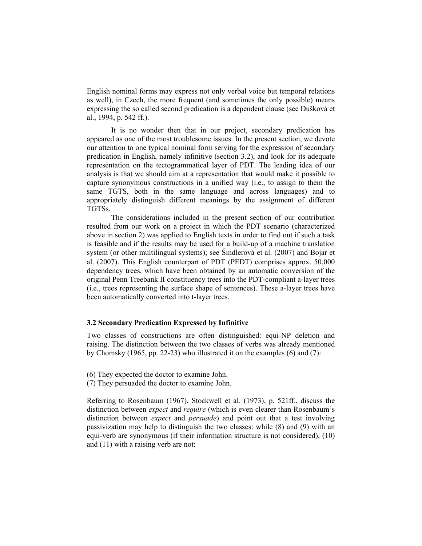English nominal forms may express not only verbal voice but temporal relations as well), in Czech, the more frequent (and sometimes the only possible) means expressing the so called second predication is a dependent clause (see Dušková et al., 1994, p. 542 ff.).

It is no wonder then that in our project, secondary predication has appeared as one of the most troublesome issues. In the present section, we devote our attention to one typical nominal form serving for the expression of secondary predication in English, namely infinitive (section 3.2), and look for its adequate representation on the tectogrammatical layer of PDT. The leading idea of our analysis is that we should aim at a representation that would make it possible to capture synonymous constructions in a unified way (i.e., to assign to them the same TGTS, both in the same language and across languages) and to appropriately distinguish different meanings by the assignment of different TGTSs.

The considerations included in the present section of our contribution resulted from our work on a project in which the PDT scenario (characterized above in section 2) was applied to English texts in order to find out if such a task is feasible and if the results may be used for a build-up of a machine translation system (or other multilingual systems); see Šindlerová et al. (2007) and Bojar et al. (2007). This English counterpart of PDT (PEDT) comprises approx. 50,000 dependency trees, which have been obtained by an automatic conversion of the original Penn Treebank II constituency trees into the PDT-compliant a-layer trees (i.e., trees representing the surface shape of sentences). These a-layer trees have been automatically converted into t-layer trees.

## **3.2 Secondary Predication Expressed by Infinitive**

Two classes of constructions are often distinguished: equi-NP deletion and raising. The distinction between the two classes of verbs was already mentioned by Chomsky (1965, pp. 22-23) who illustrated it on the examples (6) and (7):

(6) They expected the doctor to examine John.

(7) They persuaded the doctor to examine John.

Referring to Rosenbaum (1967), Stockwell et al. (1973), p. 521ff., discuss the distinction between *expect* and *require* (which is even clearer than Rosenbaum's distinction between *expect* and *persuade*) and point out that a test involving passivization may help to distinguish the two classes: while (8) and (9) with an equi-verb are synonymous (if their information structure is not considered), (10) and (11) with a raising verb are not: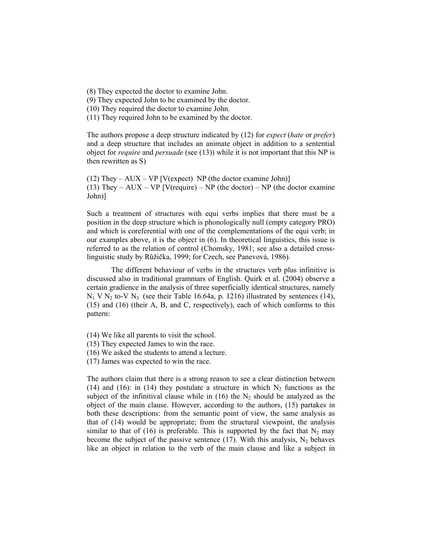(8) They expected the doctor to examine John.

(9) They expected John to be examined by the doctor.

(10) They required the doctor to examine John.

(11) They required John to be examined by the doctor.

The authors propose a deep structure indicated by (12) for *expect* (*hate* or *prefer*) and a deep structure that includes an animate object in addition to a sentential object for *require* and *persuade* (see (13)) while it is not important that this NP is then rewritten as S)

(12) They – AUX – VP [V(expect) NP (the doctor examine John)] (13) They – AUX – VP [V(require) – NP (the doctor) – NP (the doctor examine John)]

Such a treatment of structures with equi verbs implies that there must be a position in the deep structure which is phonologically null (empty category PRO) and which is coreferential with one of the complementations of the equi verb; in our examples above, it is the object in (6). In theoretical linguistics, this issue is referred to as the relation of control (Chomsky, 1981; see also a detailed crosslinguistic study by Růžička, 1999; for Czech, see Panevová, 1986).

The different behaviour of verbs in the structures verb plus infinitive is discussed also in traditional grammars of English. Quirk et al. (2004) observe a certain gradience in the analysis of three superficially identical structures, namely  $N_1$  V  $N_2$  to-V  $N_3$  (see their Table 16.64a, p. 1216) illustrated by sentences (14), (15) and (16) (their A, B, and C, respectively), each of which conforms to this pattern:

(14) We like all parents to visit the school.

(15) They expected James to win the race.

(16) We asked the students to attend a lecture.

(17) James was expected to win the race.

The authors claim that there is a strong reason to see a clear distinction between (14) and (16): in (14) they postulate a structure in which  $N_2$  functions as the subject of the infinitival clause while in (16) the  $N_2$  should be analyzed as the object of the main clause. However, according to the authors, (15) partakes in both these descriptions: from the semantic point of view, the same analysis as that of (14) would be appropriate; from the structural viewpoint, the analysis similar to that of (16) is preferable. This is supported by the fact that  $N_2$  may become the subject of the passive sentence (17). With this analysis,  $N_2$  behaves like an object in relation to the verb of the main clause and like a subject in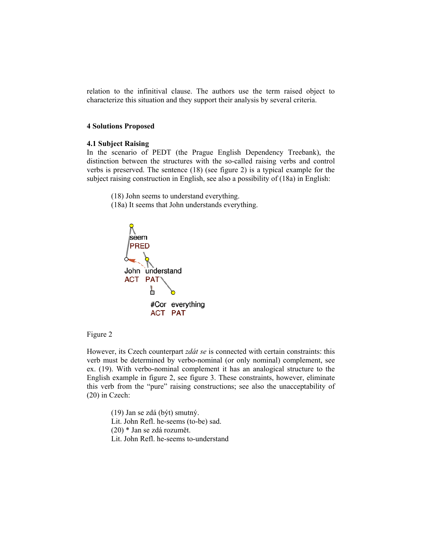relation to the infinitival clause. The authors use the term raised object to characterize this situation and they support their analysis by several criteria.

### **4 Solutions Proposed**

#### **4.1 Subject Raising**

In the scenario of PEDT (the Prague English Dependency Treebank), the distinction between the structures with the so-called raising verbs and control verbs is preserved. The sentence (18) (see figure 2) is a typical example for the subject raising construction in English, see also a possibility of (18a) in English:

(18) John seems to understand everything.

(18a) It seems that John understands everything.



Figure 2

However, its Czech counterpart *zdát se* is connected with certain constraints: this verb must be determined by verbo-nominal (or only nominal) complement, see ex. (19). With verbo-nominal complement it has an analogical structure to the English example in figure 2, see figure 3. These constraints, however, eliminate this verb from the "pure" raising constructions; see also the unacceptability of (20) in Czech:

(19) Jan se zdá (být) smutný. Lit. John Refl. he-seems (to-be) sad. (20) \* Jan se zdá rozumět. Lit. John Refl. he-seems to-understand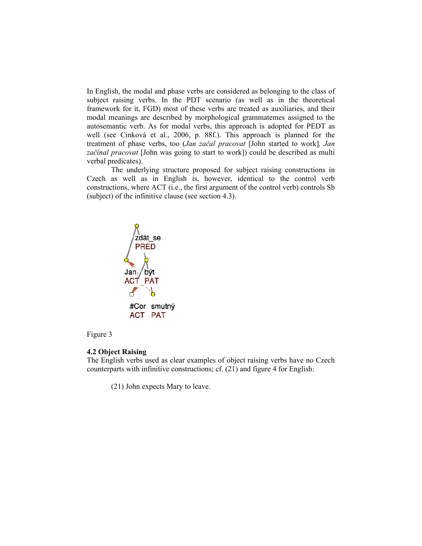In English, the modal and phase verbs are considered as belonging to the class of subject raising verbs. In the PDT scenario (as well as in the theoretical framework for it, FGD) most of these verbs are treated as auxiliaries, and their modal meanings are described by morphological grammatemes assigned to the autosemantic verb. As for modal verbs, this approach is adopted for PEDT as well (see Cinková et al., 2006, p. 88f.). This approach is planned for the treatment of phase verbs, too (*Jan začal pracovat* [John started to work]*, Jan začínal pracovat* [John was going to start to work]) could be described as multi verbal predicates).

The underlying structure proposed for subject raising constructions in Czech as well as in English is, however, identical to the control verb constructions, where ACT (i.e., the first argument of the control verb) controls Sb (subject) of the infinitive clause (see section 4.3).



## Figure 3

#### **4.2 Object Raising**

The English verbs used as clear examples of object raising verbs have no Czech counterparts with infinitive constructions; cf. (21) and figure 4 for English:

(21) John expects Mary to leave.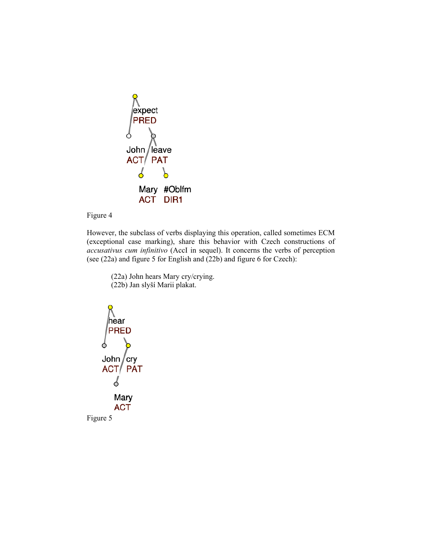

Figure 4

However, the subclass of verbs displaying this operation, called sometimes ECM (exceptional case marking), share this behavior with Czech constructions of *accusativus cum infinitivo* (AccI in sequel). It concerns the verbs of perception (see (22a) and figure 5 for English and (22b) and figure 6 for Czech):

 (22a) John hears Mary cry/crying. (22b) Jan slyší Marii plakat.

∣hèar **PRED** John  $/cry$ ACT/PAT S Mary **ACT** Figure 5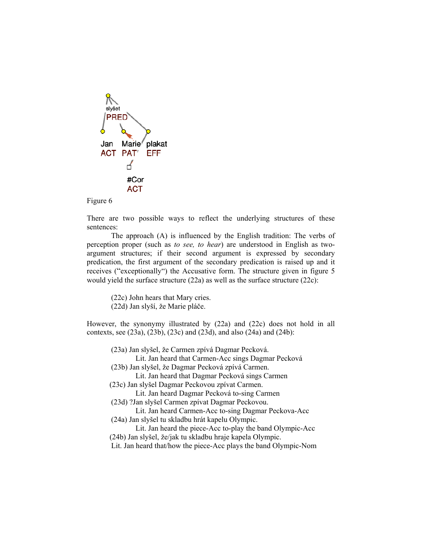

## Figure 6

There are two possible ways to reflect the underlying structures of these sentences:

The approach (A) is influenced by the English tradition: The verbs of perception proper (such as *to see, to hear*) are understood in English as twoargument structures; if their second argument is expressed by secondary predication, the first argument of the secondary predication is raised up and it receives ("exceptionally") the Accusative form. The structure given in figure 5 would yield the surface structure (22a) as well as the surface structure (22c):

(22c) John hears that Mary cries.

(22d) Jan slyší, že Marie pláče.

However, the synonymy illustrated by (22a) and (22c) does not hold in all contexts, see (23a), (23b), (23c) and (23d), and also (24a) and (24b):

 (23a) Jan slyšel, že Carmen zpívá Dagmar Pecková. Lit. Jan heard that Carmen-Acc sings Dagmar Pecková (23b) Jan slyšel, že Dagmar Pecková zpívá Carmen. Lit. Jan heard that Dagmar Pecková sings Carmen (23c) Jan slyšel Dagmar Peckovou zpívat Carmen. Lit. Jan heard Dagmar Pecková to-sing Carmen (23d) ?Jan slyšel Carmen zpívat Dagmar Peckovou. Lit. Jan heard Carmen-Acc to-sing Dagmar Peckova-Acc (24a) Jan slyšel tu skladbu hrát kapelu Olympic. Lit. Jan heard the piece-Acc to-play the band Olympic-Acc (24b) Jan slyšel, že/jak tu skladbu hraje kapela Olympic. Lit. Jan heard that/how the piece-Acc plays the band Olympic-Nom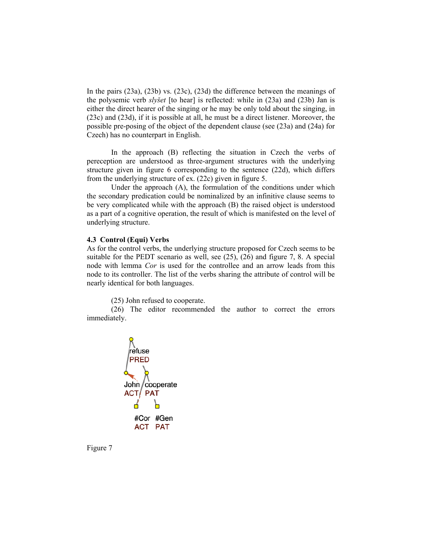In the pairs (23a), (23b) vs. (23c), (23d) the difference between the meanings of the polysemic verb *slyšet* [to hear] is reflected: while in (23a) and (23b) Jan is either the direct hearer of the singing or he may be only told about the singing, in (23c) and (23d), if it is possible at all, he must be a direct listener. Moreover, the possible pre-posing of the object of the dependent clause (see (23a) and (24a) for Czech) has no counterpart in English.

In the approach (B) reflecting the situation in Czech the verbs of pereception are understood as three-argument structures with the underlying structure given in figure 6 corresponding to the sentence (22d), which differs from the underlying structure of ex. (22c) given in figure 5.

Under the approach (A), the formulation of the conditions under which the secondary predication could be nominalized by an infinitive clause seems to be very complicated while with the approach (B) the raised object is understood as a part of a cognitive operation, the result of which is manifested on the level of underlying structure.

### **4.3 Control (Equi) Verbs**

As for the control verbs, the underlying structure proposed for Czech seems to be suitable for the PEDT scenario as well, see (25), (26) and figure 7, 8. A special node with lemma *Cor* is used for the controllee and an arrow leads from this node to its controller. The list of the verbs sharing the attribute of control will be nearly identical for both languages.

(25) John refused to cooperate.

(26) The editor recommended the author to correct the errors immediately.



Figure 7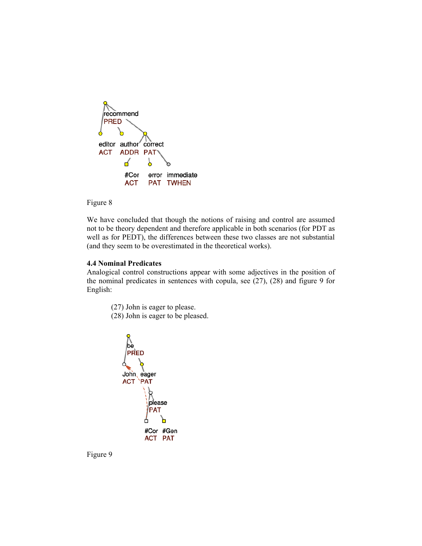

## Figure 8

We have concluded that though the notions of raising and control are assumed not to be theory dependent and therefore applicable in both scenarios (for PDT as well as for PEDT), the differences between these two classes are not substantial (and they seem to be overestimated in the theoretical works).

## **4.4 Nominal Predicates**

Analogical control constructions appear with some adjectives in the position of the nominal predicates in sentences with copula, see (27), (28) and figure 9 for English:

- (27) John is eager to please.
- (28) John is eager to be pleased.



Figure 9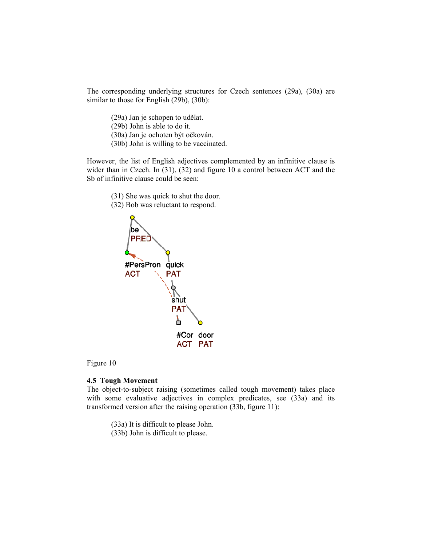The corresponding underlying structures for Czech sentences (29a), (30a) are similar to those for English (29b), (30b):

- (29a) Jan je schopen to udělat.
- (29b) John is able to do it.
- (30a) Jan je ochoten být očkován.
- (30b) John is willing to be vaccinated.

However, the list of English adjectives complemented by an infinitive clause is wider than in Czech. In (31), (32) and figure 10 a control between ACT and the Sb of infinitive clause could be seen:

- (31) She was quick to shut the door.
- (32) Bob was reluctant to respond.



Figure 10

### **4.5 Tough Movement**

The object-to-subject raising (sometimes called tough movement) takes place with some evaluative adjectives in complex predicates, see (33a) and its transformed version after the raising operation (33b, figure 11):

(33a) It is difficult to please John. (33b) John is difficult to please.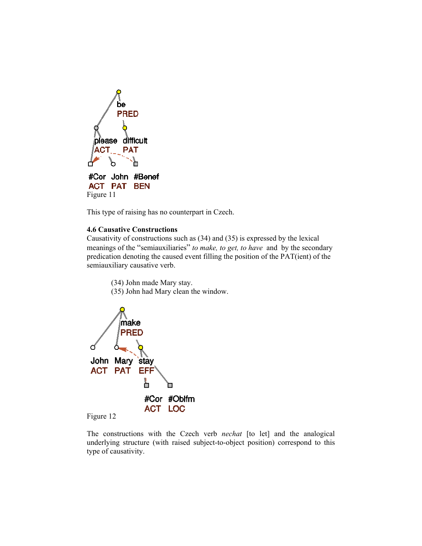

This type of raising has no counterpart in Czech.

## **4.6 Causative Constructions**

Causativity of constructions such as (34) and (35) is expressed by the lexical meanings of the "semiauxiliaries" *to make, to get, to have* and by the secondary predication denoting the caused event filling the position of the PAT(ient) of the semiauxiliary causative verb.

(34) John made Mary stay.

(35) John had Mary clean the window.





The constructions with the Czech verb *nechat* [to let] and the analogical underlying structure (with raised subject-to-object position) correspond to this type of causativity.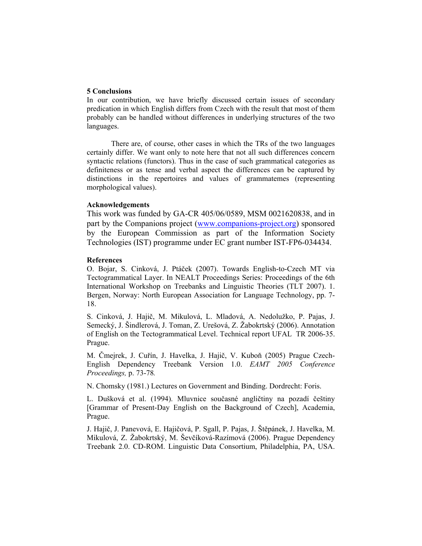## **5 Conclusions**

In our contribution, we have briefly discussed certain issues of secondary predication in which English differs from Czech with the result that most of them probably can be handled without differences in underlying structures of the two languages.

There are, of course, other cases in which the TRs of the two languages certainly differ. We want only to note here that not all such differences concern syntactic relations (functors). Thus in the case of such grammatical categories as definiteness or as tense and verbal aspect the differences can be captured by distinctions in the repertoires and values of grammatemes (representing morphological values).

### **Acknowledgements**

This work was funded by GA-CR 405/06/0589, MSM 0021620838, and in part by the Companions project (www.companions-project.org) sponsored by the European Commission as part of the Information Society Technologies (IST) programme under EC grant number IST-FP6-034434.

### **References**

O. Bojar, S. Cinková, J. Ptáček (2007). Towards English-to-Czech MT via Tectogrammatical Layer. In NEALT Proceedings Series: Proceedings of the 6th International Workshop on Treebanks and Linguistic Theories (TLT 2007). 1. Bergen, Norway: North European Association for Language Technology, pp. 7- 18.

S. Cinková, J. Hajič, M. Mikulová, L. Mladová, A. Nedolužko, P. Pajas, J. Semecký, J. Šindlerová, J. Toman, Z. Urešová, Z. Žabokrtský (2006). Annotation of English on the Tectogrammatical Level. Technical report UFAL TR 2006-35. Prague.

M. Čmejrek, J. Cuřín, J. Havelka, J. Hajič, V. Kuboň (2005) Prague Czech-English Dependency Treebank Version 1.0. *EAMT 2005 Conference Proceedings,* p. 73-78*.*

N. Chomsky (1981.) Lectures on Government and Binding. Dordrecht: Foris.

L. Dušková et al. (1994). Mluvnice současné angličtiny na pozadí češtiny [Grammar of Present-Day English on the Background of Czech], Academia, Prague.

J. Hajič, J. Panevová, E. Hajičová, P. Sgall, P. Pajas, J. Štěpánek, J. Havelka, M. Mikulová, Z. Žabokrtský, M. Ševčíková-Razímová (2006). Prague Dependency Treebank 2.0. CD-ROM. Linguistic Data Consortium, Philadelphia, PA, USA.